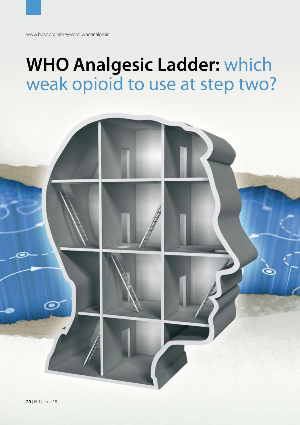# **WHO Analgesic Ladder:** which weak opioid to use at step two?

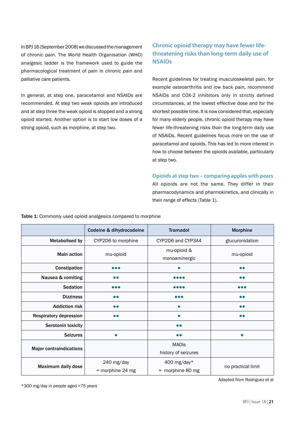In BPJ 16 (September 2008) we discussed the management of chronic pain. The World Health Organisation (WHO) analgesic ladder is the framework used to guide the pharmacological treatment of pain in chronic pain and palliative care patients.

In general, at step one, paracetamol and NSAIDs are recommended. At step two weak opioids are introduced and at step three the weak opioid is stopped and a strong opioid started. Another option is to start low doses of a strong opioid, such as morphine, at step two.

## **Chronic opioid therapy may have fewer lifethreatening risks than long-term daily use of NSAIDs**

Recent guidelines for treating musculoskeletal pain, for example osteoarthritis and low back pain, recommend NSAIDs and COX-2 inhibitors only in strictly defined circumstances, at the lowest effective dose and for the shortest possible time. It is now considered that, especially for many elderly people, chronic opioid therapy may have fewer life-threatening risks than the long-term daily use of NSAIDs. Recent guidelines focus more on the use of paracetamol and opioids. This has led to more interest in how to choose between the opioids available, particularly at step two.

**Opioids at step two – comparing apples with pears**  All opioids are not the same. They differ in their pharmacodynamics and pharmokinetics, and clinically in their range of effects (Table 1).

Table 1: Commonly used opioid analgesics compared to morphine

|                                | Codeine & dihydrocodeine | <b>Tramadol</b>                | <b>Morphine</b>    |
|--------------------------------|--------------------------|--------------------------------|--------------------|
| <b>Metabolised by</b>          | CYP2D6 to morphine       | CYP2D6 and CYP3A4              | glucuronidation    |
| <b>Main action</b>             | mu-opioid                | mu-opioid &<br>monoaminergic   | mu-opioid          |
| Constipation                   | $\bullet\bullet\bullet$  |                                | $\bullet$          |
| Nausea & vomiting              | $\bullet$                | $\bullet\bullet\bullet\bullet$ | $\bullet$          |
| <b>Sedation</b>                | .                        |                                | .                  |
| <b>Dizziness</b>               |                          |                                | $\bullet$          |
| <b>Addiction risk</b>          |                          | $\bullet$                      | $\bullet$          |
| <b>Respiratory depression</b>  | $\bullet$                |                                | $\bullet$          |
| Serotonin toxicity             |                          | $\bullet\bullet$               |                    |
| <b>Seizures</b>                |                          | $\bullet$                      | $\bullet$          |
| <b>Major contraindications</b> |                          | <b>MAOIS</b>                   |                    |
|                                |                          | history of seizures            |                    |
| Maximum daily dose             | 240 mg/day               | 400 mg/day*                    | no practical limit |
|                                | = morphine 24 mg         | $=$ morphine 80 mg             |                    |

\*300 mg/day in people aged >75 years

Adapted from Rodriguez et al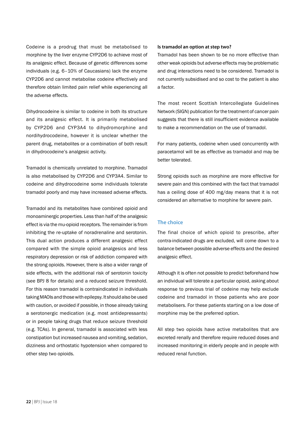Codeine is a prodrug that must be metabolised to morphine by the liver enzyme CYP2D6 to achieve most of its analgesic effect. Because of genetic differences some individuals (e.g. 6–10% of Caucasians) lack the enzyme CYP2D6 and cannot metabolise codeine effectively and therefore obtain limited pain relief while experiencing all the adverse effects.

Dihydrocodeine is similar to codeine in both its structure and its analgesic effect. It is primarily metabolised by CYP2D6 and CYP3A4 to dihydromorphine and nordihydrocodeine, however it is unclear whether the parent drug, metabolites or a combination of both result in dihydrocodeine's analgesic activity.

Tramadol is chemically unrelated to morphine. Tramadol is also metabolised by CYP2D6 and CYP3A4. Similar to codeine and dihydrocodeine some individuals tolerate tramadol poorly and may have increased adverse effects.

Tramadol and its metabolites have combined opioid and monoaminergic properties. Less than half of the analgesic effect is via the mu-opioid receptors. The remainder is from inhibiting the re-uptake of noradrenaline and serotonin. This dual action produces a different analgesic effect compared with the simple opioid analgesics and less respiratory depression or risk of addiction compared with the strong opioids. However, there is also a wider range of side effects, with the additional risk of serotonin toxicity (see BPJ 8 for details) and a reduced seizure threshold. For this reason tramadol is contraindicated in individuals taking MAOIs and those with epilepsy. It should also be used with caution, or avoided if possible, in those already taking a serotonergic medication (e.g. most antidepressants) or in people taking drugs that reduce seizure threshold (e.g. TCAs). In general, tramadol is associated with less constipation but increased nausea and vomiting, sedation, dizziness and orthostatic hypotension when compared to other step two opioids.

#### **Is tramadol an option at step two?**

Tramadol has been shown to be no more effective than other weak opioids but adverse effects may be problematic and drug interactions need to be considered. Tramadol is not currently subsidised and so cost to the patient is also a factor.

The most recent Scottish Intercollegiate Guidelines Network (SIGN) publication for the treatment of cancer pain suggests that there is still insufficient evidence available to make a recommendation on the use of tramadol.

For many patients, codeine when used concurrently with paracetamol will be as effective as tramadol and may be better tolerated.

Strong opioids such as morphine are more effective for severe pain and this combined with the fact that tramadol has a ceiling dose of 400 mg/day means that it is not considered an alternative to morphine for severe pain.

### **The choice**

The final choice of which opioid to prescribe, after contra-indicated drugs are excluded, will come down to a balance between possible adverse effects and the desired analgesic effect.

Although it is often not possible to predict beforehand how an individual will tolerate a particular opioid, asking about response to previous trial of codeine may help exclude codeine and tramadol in those patients who are poor metabolisers. For these patients starting on a low dose of morphine may be the preferred option.

All step two opioids have active metabolites that are excreted renally and therefore require reduced doses and increased monitoring in elderly people and in people with reduced renal function.